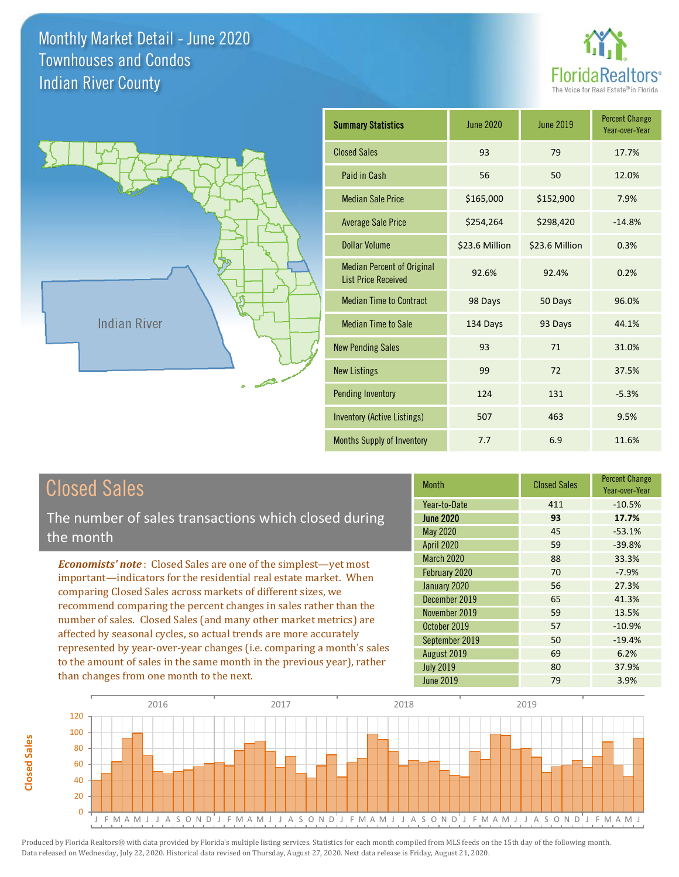



| <b>Summary Statistics</b>                                       | June 2020      | <b>June 2019</b> | <b>Percent Change</b><br>Year-over-Year |
|-----------------------------------------------------------------|----------------|------------------|-----------------------------------------|
| <b>Closed Sales</b>                                             | 93             | 79               | 17.7%                                   |
| Paid in Cash                                                    | 56             | 50               | 12.0%                                   |
| <b>Median Sale Price</b>                                        | \$165,000      | \$152,900        | 7.9%                                    |
| <b>Average Sale Price</b>                                       | \$254,264      | \$298,420        | $-14.8%$                                |
| <b>Dollar Volume</b>                                            | \$23.6 Million | \$23.6 Million   | 0.3%                                    |
| <b>Median Percent of Original</b><br><b>List Price Received</b> | 92.6%          | 92.4%            | 0.2%                                    |
| <b>Median Time to Contract</b>                                  | 98 Days        | 50 Days          | 96.0%                                   |
| <b>Median Time to Sale</b>                                      | 134 Days       | 93 Days          | 44.1%                                   |
| <b>New Pending Sales</b>                                        | 93             | 71               | 31.0%                                   |
| <b>New Listings</b>                                             | 99             | 72               | 37.5%                                   |
| <b>Pending Inventory</b>                                        | 124            | 131              | $-5.3%$                                 |
| <b>Inventory (Active Listings)</b>                              | 507            | 463              | 9.5%                                    |
| Months Supply of Inventory                                      | 7.7            | 6.9              | 11.6%                                   |

# Closed Sales

**Closed Sales**

**Closed Sales** 

The number of sales transactions which closed during the month

*Economists' note* : Closed Sales are one of the simplest—yet most important—indicators for the residential real estate market. When comparing Closed Sales across markets of different sizes, we recommend comparing the percent changes in sales rather than the number of sales. Closed Sales (and many other market metrics) are affected by seasonal cycles, so actual trends are more accurately represented by year-over-year changes (i.e. comparing a month's sales to the amount of sales in the same month in the previous year), rather than changes from one month to the next.

| <b>Month</b>      | <b>Closed Sales</b> | <b>Percent Change</b><br>Year-over-Year |
|-------------------|---------------------|-----------------------------------------|
| Year-to-Date      | 411                 | $-10.5%$                                |
| <b>June 2020</b>  | 93                  | 17.7%                                   |
| <b>May 2020</b>   | 45                  | $-53.1%$                                |
| <b>April 2020</b> | 59                  | $-39.8%$                                |
| <b>March 2020</b> | 88                  | 33.3%                                   |
| February 2020     | 70                  | $-7.9%$                                 |
| January 2020      | 56                  | 27.3%                                   |
| December 2019     | 65                  | 41.3%                                   |
| November 2019     | 59                  | 13.5%                                   |
| October 2019      | 57                  | $-10.9%$                                |
| September 2019    | 50                  | $-19.4%$                                |
| August 2019       | 69                  | 6.2%                                    |
| <b>July 2019</b>  | 80                  | 37.9%                                   |
| <b>June 2019</b>  | 79                  | 3.9%                                    |

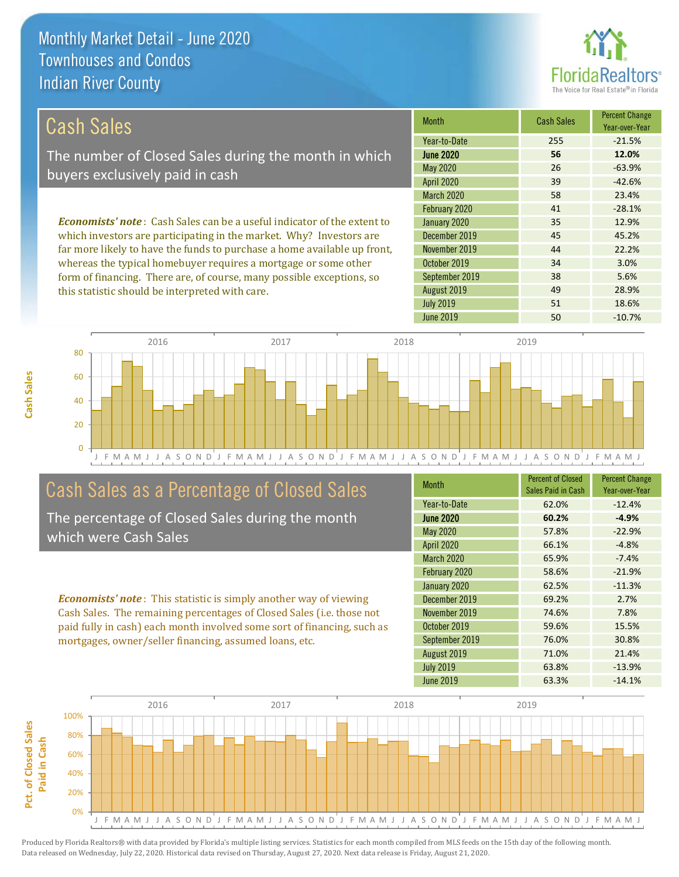

38 5.6%

49 28.9%

| <b>Cash Sales</b>                                                              | <b>Month</b>      | <b>Cash Sales</b> | <b>Percent Change</b><br>Year-over-Year |
|--------------------------------------------------------------------------------|-------------------|-------------------|-----------------------------------------|
|                                                                                | Year-to-Date      | 255               | $-21.5%$                                |
| The number of Closed Sales during the month in which                           | <b>June 2020</b>  | 56                | 12.0%                                   |
| buyers exclusively paid in cash                                                | May 2020          | 26                | $-63.9%$                                |
|                                                                                | <b>April 2020</b> | 39                | $-42.6%$                                |
|                                                                                | <b>March 2020</b> | 58                | 23.4%                                   |
|                                                                                | February 2020     | 41                | $-28.1%$                                |
| <b>Economists' note:</b> Cash Sales can be a useful indicator of the extent to | January 2020      | 35                | 12.9%                                   |
| which investors are participating in the market. Why? Investors are            | December 2019     | 45                | 45.2%                                   |
| far more likely to have the funds to purchase a home available up front,       | November 2019     | 44                | 22.2%                                   |
| whereas the typical homebuyer requires a mortgage or some other                | October 2019      | 34                | 3.0%                                    |

August 2019

September 2019



# Cash Sales as a Percentage of Closed Sales

form of financing. There are, of course, many possible exceptions, so

this statistic should be interpreted with care.

The percentage of Closed Sales during the month which were Cash Sales

*Economists' note* : This statistic is simply another way of viewing Cash Sales. The remaining percentages of Closed Sales (i.e. those not paid fully in cash) each month involved some sort of financing, such as mortgages, owner/seller financing, assumed loans, etc.

| <b>Month</b>      | <b>Percent of Closed</b><br>Sales Paid in Cash | <b>Percent Change</b><br>Year-over-Year |
|-------------------|------------------------------------------------|-----------------------------------------|
| Year-to-Date      | 62.0%                                          | $-12.4%$                                |
| <b>June 2020</b>  | 60.2%                                          | $-4.9%$                                 |
| May 2020          | 57.8%                                          | $-22.9%$                                |
| <b>April 2020</b> | 66.1%                                          | $-4.8%$                                 |
| <b>March 2020</b> | 65.9%                                          | $-7.4%$                                 |
| February 2020     | 58.6%                                          | $-21.9%$                                |
| January 2020      | 62.5%                                          | $-11.3%$                                |
| December 2019     | 69.2%                                          | 2.7%                                    |
| November 2019     | 74.6%                                          | 7.8%                                    |
| October 2019      | 59.6%                                          | 15.5%                                   |
| September 2019    | 76.0%                                          | 30.8%                                   |
| August 2019       | 71.0%                                          | 21.4%                                   |
| <b>July 2019</b>  | 63.8%                                          | $-13.9%$                                |
| June 2019         | 63.3%                                          | $-14.1%$                                |

July 2019 **51** 18.6%



Produced by Florida Realtors® with data provided by Florida's multiple listing services. Statistics for each month compiled from MLS feeds on the 15th day of the following month.

Data released on Wednesday, July 22, 2020. Historical data revised on Thursday, August 27, 2020. Next data release is Friday, August 21, 2020.

Pct. of Closed Sales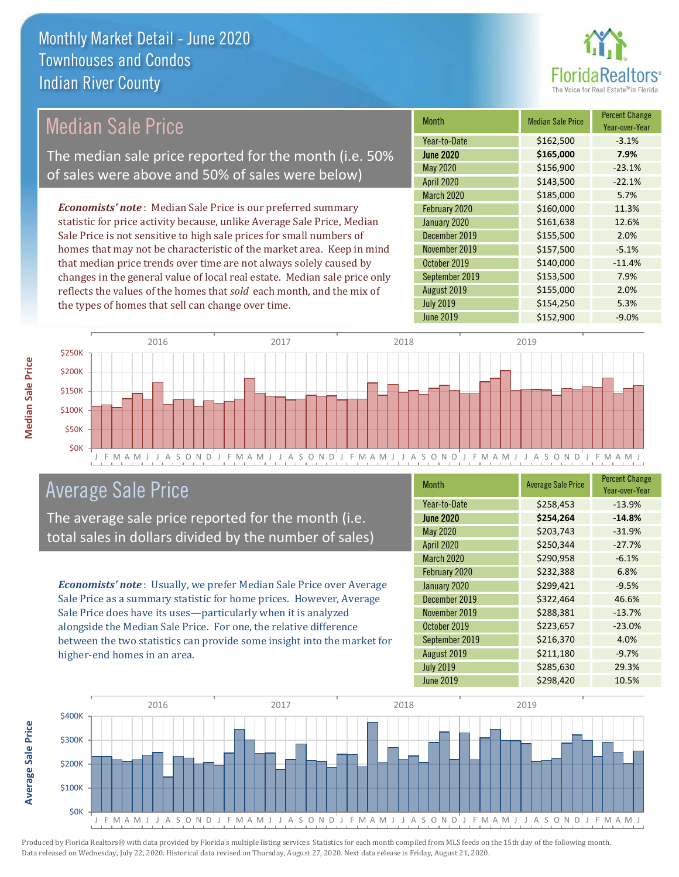

# Median Sale Price

The median sale price reported for the month (i.e. 50% of sales were above and 50% of sales were below)

*Economists' note* : Median Sale Price is our preferred summary statistic for price activity because, unlike Average Sale Price, Median Sale Price is not sensitive to high sale prices for small numbers of homes that may not be characteristic of the market area. Keep in mind that median price trends over time are not always solely caused by changes in the general value of local real estate. Median sale price only reflects the values of the homes that *sold* each month, and the mix of the types of homes that sell can change over time.

| <b>Month</b>     | <b>Median Sale Price</b> | <b>Percent Change</b><br>Year-over-Year |
|------------------|--------------------------|-----------------------------------------|
| Year-to-Date     | \$162,500                | $-3.1%$                                 |
| <b>June 2020</b> | \$165,000                | 7.9%                                    |
| May 2020         | \$156,900                | $-23.1%$                                |
| April 2020       | \$143,500                | $-22.1%$                                |
| March 2020       | \$185,000                | 5.7%                                    |
| February 2020    | \$160,000                | 11.3%                                   |
| January 2020     | \$161,638                | 12.6%                                   |
| December 2019    | \$155,500                | 2.0%                                    |
| November 2019    | \$157,500                | $-5.1%$                                 |
| October 2019     | \$140,000                | $-11.4%$                                |
| September 2019   | \$153,500                | 7.9%                                    |
| August 2019      | \$155,000                | 2.0%                                    |
| <b>July 2019</b> | \$154,250                | 5.3%                                    |
| <b>June 2019</b> | \$152,900                | $-9.0%$                                 |



## Average Sale Price

The average sale price reported for the month (i.e. total sales in dollars divided by the number of sales)

*Economists' note* : Usually, we prefer Median Sale Price over Average Sale Price as a summary statistic for home prices. However, Average Sale Price does have its uses—particularly when it is analyzed alongside the Median Sale Price. For one, the relative difference between the two statistics can provide some insight into the market for higher-end homes in an area.

| Month             | <b>Average Sale Price</b> | <b>Percent Change</b><br>Year-over-Year |
|-------------------|---------------------------|-----------------------------------------|
| Year-to-Date      | \$258,453                 | $-13.9%$                                |
| <b>June 2020</b>  | \$254,264                 | $-14.8%$                                |
| May 2020          | \$203,743                 | $-31.9%$                                |
| <b>April 2020</b> | \$250,344                 | $-27.7%$                                |
| <b>March 2020</b> | \$290,958                 | $-6.1%$                                 |
| February 2020     | \$232,388                 | 6.8%                                    |
| January 2020      | \$299,421                 | $-9.5%$                                 |
| December 2019     | \$322,464                 | 46.6%                                   |
| November 2019     | \$288,381                 | $-13.7%$                                |
| October 2019      | \$223,657                 | $-23.0%$                                |
| September 2019    | \$216,370                 | 4.0%                                    |
| August 2019       | \$211,180                 | $-9.7%$                                 |
| <b>July 2019</b>  | \$285,630                 | 29.3%                                   |
| <b>June 2019</b>  | \$298,420                 | 10.5%                                   |



**Average Sale Price**

**Average Sale Price**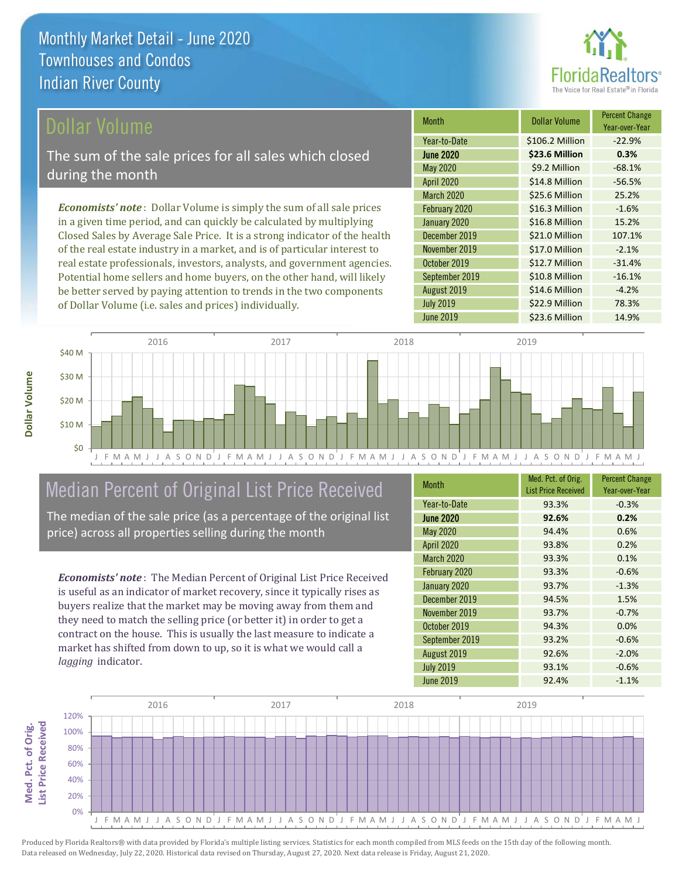

### ollar Volume

The sum of the sale prices for all sales which closed during the month

*Economists' note* : Dollar Volume is simply the sum of all sale prices in a given time period, and can quickly be calculated by multiplying Closed Sales by Average Sale Price. It is a strong indicator of the health of the real estate industry in a market, and is of particular interest to real estate professionals, investors, analysts, and government agencies. Potential home sellers and home buyers, on the other hand, will likely be better served by paying attention to trends in the two components of Dollar Volume (i.e. sales and prices) individually.

| <b>Month</b>      | Dollar Volume   | <b>Percent Change</b><br>Year-over-Year |
|-------------------|-----------------|-----------------------------------------|
| Year-to-Date      | \$106.2 Million | $-22.9%$                                |
| <b>June 2020</b>  | \$23.6 Million  | 0.3%                                    |
| <b>May 2020</b>   | \$9.2 Million   | $-68.1%$                                |
| <b>April 2020</b> | \$14.8 Million  | $-56.5%$                                |
| March 2020        | \$25.6 Million  | 25.2%                                   |
| February 2020     | \$16.3 Million  | $-1.6%$                                 |
| January 2020      | \$16.8 Million  | 15.2%                                   |
| December 2019     | \$21.0 Million  | 107.1%                                  |
| November 2019     | \$17.0 Million  | $-2.1%$                                 |
| October 2019      | \$12.7 Million  | $-31.4%$                                |
| September 2019    | \$10.8 Million  | $-16.1%$                                |
| August 2019       | \$14.6 Million  | $-4.2%$                                 |
| <b>July 2019</b>  | \$22.9 Million  | 78.3%                                   |
| June 2019         | \$23.6 Million  | 14.9%                                   |



# Median Percent of Original List Price Received

The median of the sale price (as a percentage of the original list price) across all properties selling during the month

*Economists' note* : The Median Percent of Original List Price Received is useful as an indicator of market recovery, since it typically rises as buyers realize that the market may be moving away from them and they need to match the selling price (or better it) in order to get a contract on the house. This is usually the last measure to indicate a market has shifted from down to up, so it is what we would call a *lagging* indicator.

| <b>Month</b>      | Med. Pct. of Orig.<br><b>List Price Received</b> | <b>Percent Change</b><br>Year-over-Year |
|-------------------|--------------------------------------------------|-----------------------------------------|
| Year-to-Date      | 93.3%                                            | $-0.3%$                                 |
| <b>June 2020</b>  | 92.6%                                            | 0.2%                                    |
| <b>May 2020</b>   | 94.4%                                            | 0.6%                                    |
| <b>April 2020</b> | 93.8%                                            | 0.2%                                    |
| <b>March 2020</b> | 93.3%                                            | 0.1%                                    |
| February 2020     | 93.3%                                            | $-0.6%$                                 |
| January 2020      | 93.7%                                            | $-1.3%$                                 |
| December 2019     | 94.5%                                            | 1.5%                                    |
| November 2019     | 93.7%                                            | $-0.7%$                                 |
| October 2019      | 94.3%                                            | 0.0%                                    |
| September 2019    | 93.2%                                            | $-0.6%$                                 |
| August 2019       | 92.6%                                            | $-2.0%$                                 |
| <b>July 2019</b>  | 93.1%                                            | $-0.6%$                                 |
| June 2019         | 92.4%                                            | $-1.1%$                                 |

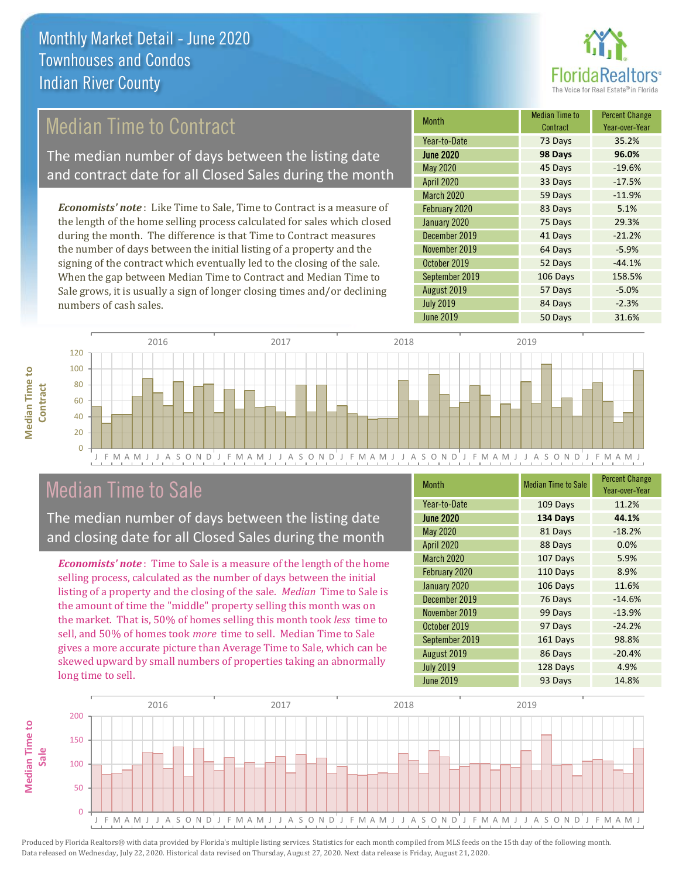

# Median Time to Contract

The median number of days between the listing date and contract date for all Closed Sales during the month

*Economists' note* : Like Time to Sale, Time to Contract is a measure of the length of the home selling process calculated for sales which closed during the month. The difference is that Time to Contract measures the number of days between the initial listing of a property and the signing of the contract which eventually led to the closing of the sale. When the gap between Median Time to Contract and Median Time to Sale grows, it is usually a sign of longer closing times and/or declining numbers of cash sales.

| Month            | <b>Median Time to</b><br>Contract | <b>Percent Change</b><br>Year-over-Year |
|------------------|-----------------------------------|-----------------------------------------|
| Year-to-Date     | 73 Days                           | 35.2%                                   |
| <b>June 2020</b> | 98 Days                           | 96.0%                                   |
| May 2020         | 45 Days                           | $-19.6%$                                |
| April 2020       | 33 Days                           | $-17.5%$                                |
| March 2020       | 59 Days                           | $-11.9%$                                |
| February 2020    | 83 Days                           | 5.1%                                    |
| January 2020     | 75 Days                           | 29.3%                                   |
| December 2019    | 41 Days                           | $-21.2%$                                |
| November 2019    | 64 Days                           | $-5.9%$                                 |
| October 2019     | 52 Days                           | $-44.1%$                                |
| September 2019   | 106 Days                          | 158.5%                                  |
| August 2019      | 57 Days                           | $-5.0%$                                 |
| <b>July 2019</b> | 84 Days                           | $-2.3%$                                 |
| <b>June 2019</b> | 50 Days                           | 31.6%                                   |



## Median Time to Sale

**Median Time to Contract**

**Median Time to** 

The median number of days between the listing date and closing date for all Closed Sales during the month

*Economists' note* : Time to Sale is a measure of the length of the home selling process, calculated as the number of days between the initial listing of a property and the closing of the sale. *Median* Time to Sale is the amount of time the "middle" property selling this month was on the market. That is, 50% of homes selling this month took *less* time to sell, and 50% of homes took *more* time to sell. Median Time to Sale gives a more accurate picture than Average Time to Sale, which can be skewed upward by small numbers of properties taking an abnormally long time to sell.

| <b>Month</b>      | <b>Median Time to Sale</b> | <b>Percent Change</b><br>Year-over-Year |
|-------------------|----------------------------|-----------------------------------------|
| Year-to-Date      | 109 Days                   | 11.2%                                   |
| <b>June 2020</b>  | 134 Days                   | 44.1%                                   |
| May 2020          | 81 Days                    | $-18.2%$                                |
| <b>April 2020</b> | 88 Days                    | 0.0%                                    |
| <b>March 2020</b> | 107 Days                   | 5.9%                                    |
| February 2020     | 110 Days                   | 8.9%                                    |
| January 2020      | 106 Days                   | 11.6%                                   |
| December 2019     | 76 Days                    | $-14.6%$                                |
| November 2019     | 99 Days                    | $-13.9%$                                |
| October 2019      | 97 Days                    | $-24.2%$                                |
| September 2019    | 161 Days                   | 98.8%                                   |
| August 2019       | 86 Days                    | $-20.4%$                                |
| <b>July 2019</b>  | 128 Days                   | 4.9%                                    |
| <b>June 2019</b>  | 93 Days                    | 14.8%                                   |

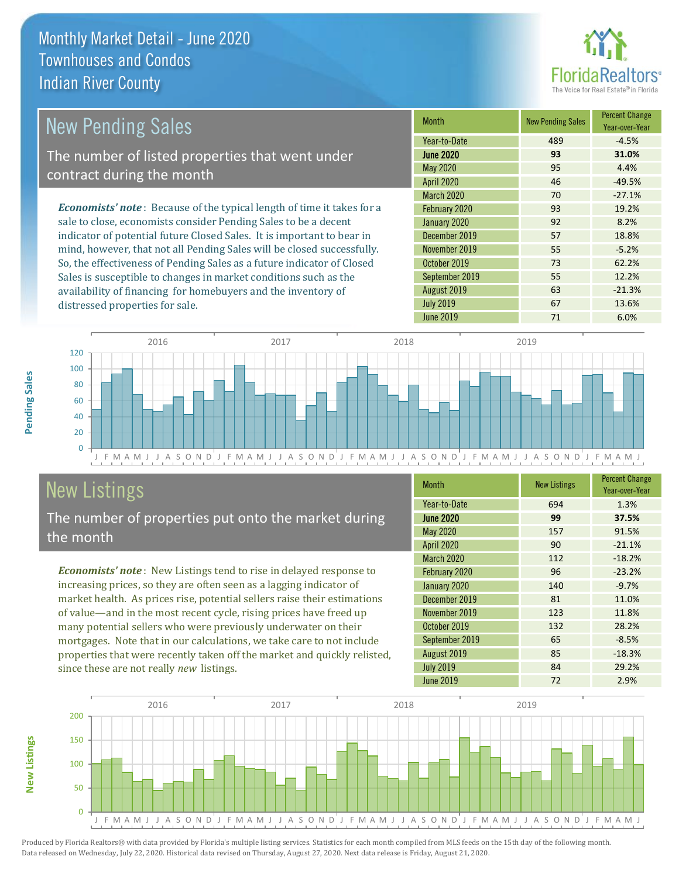distressed properties for sale.



#### *Economists' note* : Because of the typical length of time it takes for a sale to close, economists consider Pending Sales to be a decent indicator of potential future Closed Sales. It is important to bear in mind, however, that not all Pending Sales will be closed successfully. So, the effectiveness of Pending Sales as a future indicator of Closed Sales is susceptible to changes in market conditions such as the Month New Pending Sales Percent Change Year-over-Year June 2020 **93 31.0%** Year-to-Date 489 489 -4.5% November 2019 **55** 55 -5.2% May 2020 95 4.4% April 2020 **46** -49.5% January 2020 92 8.2% December 2019 **57** 18.8% March 2020 70 -27.1% February 2020 93 93 19.2% October 2019 73 62.2% September 2019 **55** 12.2% New Pending Sales The number of listed properties that went under contract during the month



# **New Listings**

The number of properties put onto the market during the month

availability of financing for homebuyers and the inventory of

*Economists' note* : New Listings tend to rise in delayed response to increasing prices, so they are often seen as a lagging indicator of market health. As prices rise, potential sellers raise their estimations of value—and in the most recent cycle, rising prices have freed up many potential sellers who were previously underwater on their mortgages. Note that in our calculations, we take care to not include properties that were recently taken off the market and quickly relisted, since these are not really *new* listings.

| <b>Month</b>      | <b>New Listings</b> | <b>Percent Change</b><br>Year-over-Year |
|-------------------|---------------------|-----------------------------------------|
| Year-to-Date      | 694                 | 1.3%                                    |
| <b>June 2020</b>  | 99                  | 37.5%                                   |
| <b>May 2020</b>   | 157                 | 91.5%                                   |
| <b>April 2020</b> | 90                  | $-21.1%$                                |
| <b>March 2020</b> | 112                 | $-18.2%$                                |
| February 2020     | 96                  | $-23.2%$                                |
| January 2020      | 140                 | $-9.7%$                                 |
| December 2019     | 81                  | 11.0%                                   |
| November 2019     | 123                 | 11.8%                                   |
| October 2019      | 132                 | 28.2%                                   |
| September 2019    | 65                  | $-8.5%$                                 |
| August 2019       | 85                  | $-18.3%$                                |
| <b>July 2019</b>  | 84                  | 29.2%                                   |
| <b>June 2019</b>  | 72                  | 2.9%                                    |

August 2019 **63** -21.3% July 2019 **67** 13.6%



Produced by Florida Realtors® with data provided by Florida's multiple listing services. Statistics for each month compiled from MLS feeds on the 15th day of the following month. Data released on Wednesday, July 22, 2020. Historical data revised on Thursday, August 27, 2020. Next data release is Friday, August 21, 2020.

**New Listings**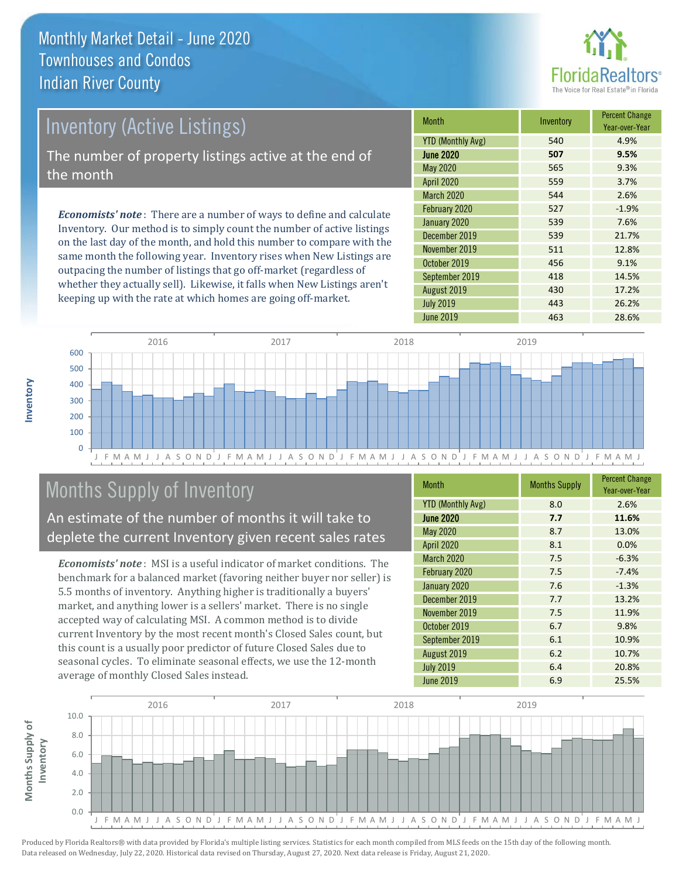

# Inventory (Active Listings)

The number of property listings active at the end of the month

*Economists' note* : There are a number of ways to define and calculate Inventory. Our method is to simply count the number of active listings on the last day of the month, and hold this number to compare with the same month the following year. Inventory rises when New Listings are outpacing the number of listings that go off-market (regardless of whether they actually sell). Likewise, it falls when New Listings aren't keeping up with the rate at which homes are going off-market.

| <b>Month</b>             | Inventory | <b>Percent Change</b><br>Year-over-Year |
|--------------------------|-----------|-----------------------------------------|
| <b>YTD (Monthly Avg)</b> | 540       | 4.9%                                    |
| <b>June 2020</b>         | 507       | 9.5%                                    |
| <b>May 2020</b>          | 565       | 9.3%                                    |
| <b>April 2020</b>        | 559       | 3.7%                                    |
| <b>March 2020</b>        | 544       | 2.6%                                    |
| February 2020            | 527       | $-1.9%$                                 |
| January 2020             | 539       | 7.6%                                    |
| December 2019            | 539       | 21.7%                                   |
| November 2019            | 511       | 12.8%                                   |
| October 2019             | 456       | 9.1%                                    |
| September 2019           | 418       | 14.5%                                   |
| August 2019              | 430       | 17.2%                                   |
| <b>July 2019</b>         | 443       | 26.2%                                   |
| June 2019                | 463       | 28.6%                                   |



# Months Supply of Inventory

An estimate of the number of months it will take to deplete the current Inventory given recent sales rates

*Economists' note* : MSI is a useful indicator of market conditions. The benchmark for a balanced market (favoring neither buyer nor seller) is 5.5 months of inventory. Anything higher is traditionally a buyers' market, and anything lower is a sellers' market. There is no single accepted way of calculating MSI. A common method is to divide current Inventory by the most recent month's Closed Sales count, but this count is a usually poor predictor of future Closed Sales due to seasonal cycles. To eliminate seasonal effects, we use the 12-month average of monthly Closed Sales instead.

| <b>Month</b>             | <b>Months Supply</b> | <b>Percent Change</b><br>Year-over-Year |
|--------------------------|----------------------|-----------------------------------------|
| <b>YTD (Monthly Avg)</b> | 8.0                  | 2.6%                                    |
| <b>June 2020</b>         | 7.7                  | 11.6%                                   |
| May 2020                 | 8.7                  | 13.0%                                   |
| <b>April 2020</b>        | 8.1                  | 0.0%                                    |
| <b>March 2020</b>        | 7.5                  | $-6.3%$                                 |
| February 2020            | 7.5                  | $-7.4%$                                 |
| January 2020             | 7.6                  | $-1.3%$                                 |
| December 2019            | 7.7                  | 13.2%                                   |
| November 2019            | 7.5                  | 11.9%                                   |
| October 2019             | 6.7                  | 9.8%                                    |
| September 2019           | 6.1                  | 10.9%                                   |
| August 2019              | 6.2                  | 10.7%                                   |
| <b>July 2019</b>         | 6.4                  | 20.8%                                   |
| <b>June 2019</b>         | 6.9                  | 25.5%                                   |

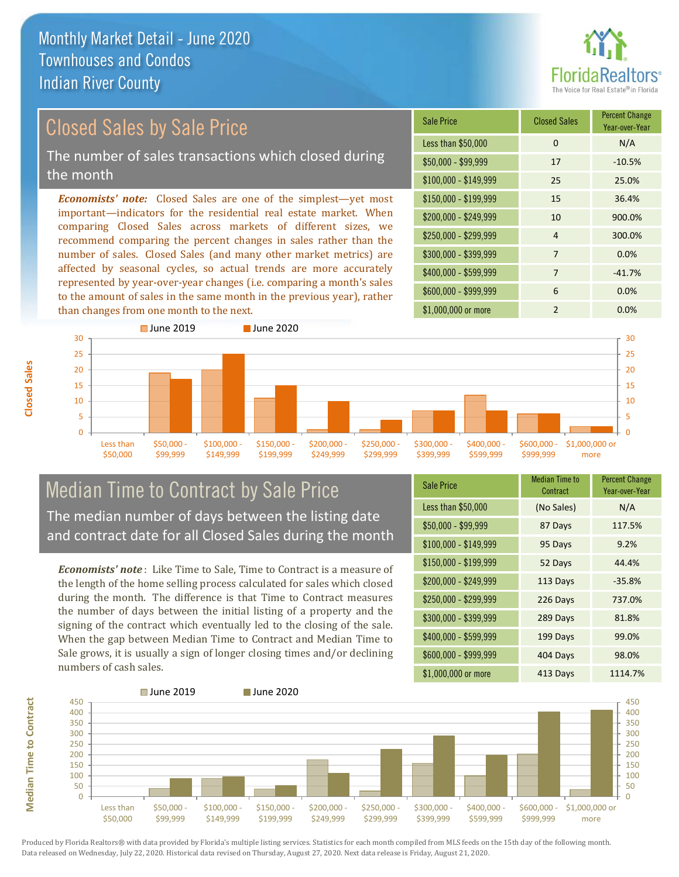

# Closed Sales by Sale Price

The number of sales transactions which closed during the month

*Economists' note:* Closed Sales are one of the simplest—yet most important—indicators for the residential real estate market. When comparing Closed Sales across markets of different sizes, we recommend comparing the percent changes in sales rather than the number of sales. Closed Sales (and many other market metrics) are affected by seasonal cycles, so actual trends are more accurately represented by year-over-year changes (i.e. comparing a month's sales to the amount of sales in the same month in the previous year), rather than changes from one month to the next.

| <b>Sale Price</b>     | <b>Closed Sales</b> | <b>Percent Change</b><br>Year-over-Year |
|-----------------------|---------------------|-----------------------------------------|
| Less than \$50,000    | 0                   | N/A                                     |
| $$50,000 - $99,999$   | 17                  | $-10.5%$                                |
| $$100,000 - $149,999$ | 25                  | 25.0%                                   |
| \$150,000 - \$199,999 | 15                  | 36.4%                                   |
| \$200,000 - \$249,999 | 10                  | 900.0%                                  |
| \$250,000 - \$299,999 | 4                   | 300.0%                                  |
| \$300,000 - \$399,999 | 7                   | 0.0%                                    |
| \$400,000 - \$599,999 | 7                   | $-41.7%$                                |
| \$600,000 - \$999,999 | 6                   | 0.0%                                    |
| \$1,000,000 or more   | $\mathfrak{p}$      | 0.0%                                    |



### Median Time to Contract by Sale Price The median number of days between the listing date and contract date for all Closed Sales during the month

*Economists' note* : Like Time to Sale, Time to Contract is a measure of the length of the home selling process calculated for sales which closed during the month. The difference is that Time to Contract measures the number of days between the initial listing of a property and the signing of the contract which eventually led to the closing of the sale. When the gap between Median Time to Contract and Median Time to Sale grows, it is usually a sign of longer closing times and/or declining numbers of cash sales.

| <b>Sale Price</b>     | Median Time to<br>Contract | <b>Percent Change</b><br>Year-over-Year |
|-----------------------|----------------------------|-----------------------------------------|
| Less than \$50,000    | (No Sales)                 | N/A                                     |
| $$50,000 - $99,999$   | 87 Days                    | 117.5%                                  |
| $$100,000 - $149,999$ | 95 Days                    | 9.2%                                    |
| $$150,000 - $199,999$ | 52 Days                    | 44.4%                                   |
| \$200,000 - \$249,999 | 113 Days                   | $-35.8%$                                |
| \$250,000 - \$299,999 | 226 Days                   | 737.0%                                  |
| \$300,000 - \$399,999 | 289 Days                   | 81.8%                                   |
| \$400,000 - \$599,999 | 199 Days                   | 99.0%                                   |
| \$600,000 - \$999,999 | 404 Days                   | 98.0%                                   |
| \$1,000,000 or more   | 413 Days                   | 1114.7%                                 |



Produced by Florida Realtors® with data provided by Florida's multiple listing services. Statistics for each month compiled from MLS feeds on the 15th day of the following month. Data released on Wednesday, July 22, 2020. Historical data revised on Thursday, August 27, 2020. Next data release is Friday, August 21, 2020.

**Median Time to Contract**

**Median Time to Contract**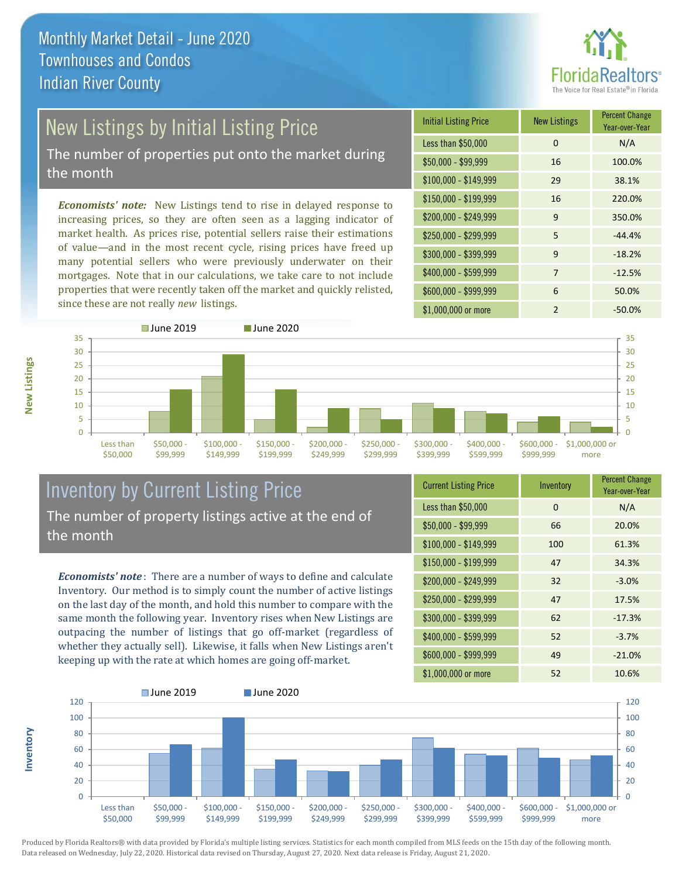

# New Listings by Initial Listing Price

The number of properties put onto the market during the month

*Economists' note:* New Listings tend to rise in delayed response to increasing prices, so they are often seen as a lagging indicator of market health. As prices rise, potential sellers raise their estimations of value—and in the most recent cycle, rising prices have freed up many potential sellers who were previously underwater on their mortgages. Note that in our calculations, we take care to not include properties that were recently taken off the market and quickly relisted, since these are not really *new* listings.

| <b>Initial Listing Price</b> | <b>New Listings</b> | <b>Percent Change</b><br>Year-over-Year |
|------------------------------|---------------------|-----------------------------------------|
| Less than \$50,000           | 0                   | N/A                                     |
| \$50,000 - \$99,999          | 16                  | 100.0%                                  |
| $$100,000 - $149,999$        | 29                  | 38.1%                                   |
| $$150,000 - $199,999$        | 16                  | 220.0%                                  |
| \$200,000 - \$249,999        | $\mathsf{q}$        | 350.0%                                  |
| \$250,000 - \$299,999        | 5                   | $-44.4%$                                |
| \$300,000 - \$399,999        | 9                   | $-18.2%$                                |
| \$400,000 - \$599,999        | 7                   | $-12.5%$                                |
| \$600,000 - \$999,999        | 6                   | 50.0%                                   |
| \$1,000,000 or more          | $\mathfrak{p}$      | $-50.0\%$                               |



### Inventory by Current Listing Price The number of property listings active at the end of the month

*Economists' note* : There are a number of ways to define and calculate Inventory. Our method is to simply count the number of active listings on the last day of the month, and hold this number to compare with the same month the following year. Inventory rises when New Listings are outpacing the number of listings that go off-market (regardless of whether they actually sell). Likewise, it falls when New Listings aren't keeping up with the rate at which homes are going off-market.

| <b>Current Listing Price</b> | Inventory | <b>Percent Change</b><br>Year-over-Year |
|------------------------------|-----------|-----------------------------------------|
| Less than \$50,000           | 0         | N/A                                     |
| $$50,000 - $99,999$          | 66        | 20.0%                                   |
| $$100,000 - $149,999$        | 100       | 61.3%                                   |
| $$150,000 - $199,999$        | 47        | 34.3%                                   |
| \$200,000 - \$249,999        | 32        | $-3.0%$                                 |
| \$250,000 - \$299,999        | 47        | 17.5%                                   |
| \$300,000 - \$399,999        | 62        | $-17.3%$                                |
| \$400,000 - \$599,999        | 52        | $-3.7%$                                 |
| \$600,000 - \$999,999        | 49        | $-21.0%$                                |
| \$1,000,000 or more          | 52        | 10.6%                                   |



Produced by Florida Realtors® with data provided by Florida's multiple listing services. Statistics for each month compiled from MLS feeds on the 15th day of the following month. Data released on Wednesday, July 22, 2020. Historical data revised on Thursday, August 27, 2020. Next data release is Friday, August 21, 2020.

**Inventory**